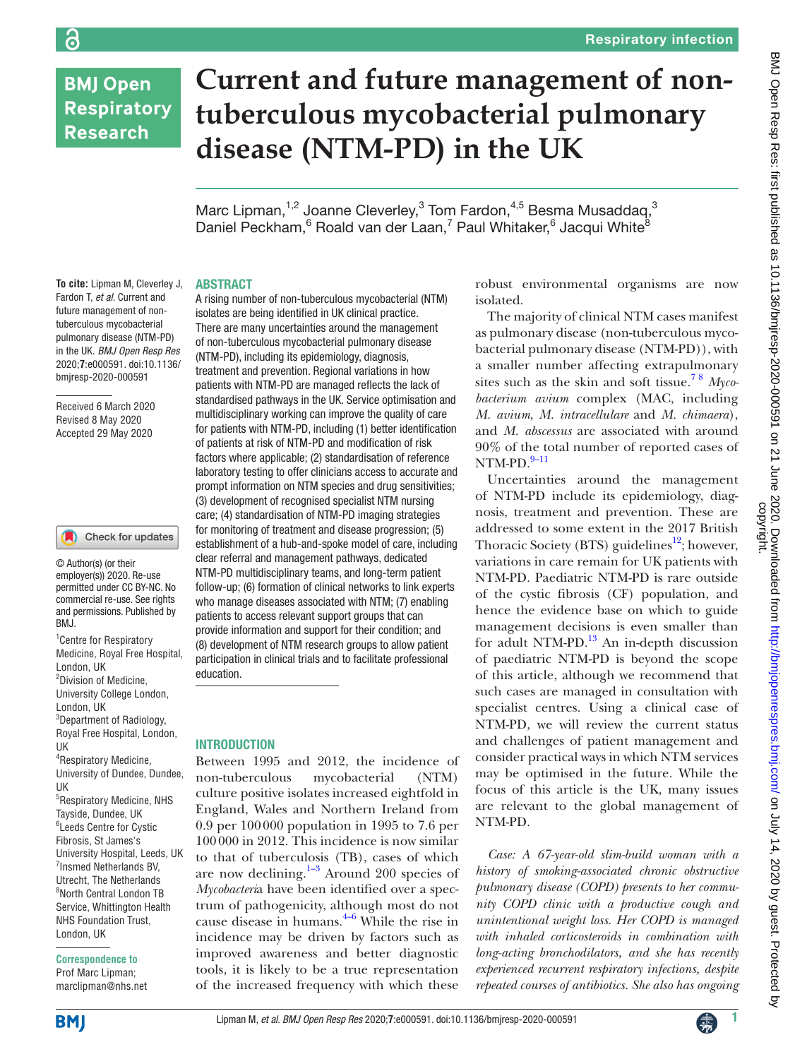# **BMJ Open Respiratory Research**

ခြ

# **Current and future management of nontuberculous mycobacterial pulmonary disease (NTM-PD) in the UK**

Marc Lipman, $^{1,2}$  Joanne Cleverley, $^3$  Tom Fardon, $^{4,5}$  Besma Musaddaq, $^3$ Daniel Peckham, <sup>6</sup> Roald van der Laan, <sup>7</sup> Paul Whitaker, <sup>6</sup> Jacqui White<sup>8</sup>

# **ABSTRACT**

**To cite:** Lipman M, Cleverley J, Fardon T, *et al*. Current and future management of nontuberculous mycobacterial pulmonary disease (NTM-PD) in the UK. *BMJ Open Resp Res* 2020;**7**:e000591. doi:10.1136/ bmjresp-2020-000591

Received 6 March 2020 Revised 8 May 2020 Accepted 29 May 2020

#### Check for updates

© Author(s) (or their employer(s)) 2020. Re-use permitted under CC BY-NC. No commercial re-use. See rights and permissions. Published by RM<sub>J</sub>

<sup>1</sup> Centre for Respiratory Medicine, Royal Free Hospital, London, UK 2 Division of Medicine, University College London, London, UK <sup>3</sup>Department of Radiology, Royal Free Hospital, London, UK 4 Respiratory Medicine, University of Dundee, Dundee, UK 5 Respiratory Medicine, NHS Tayside, Dundee, UK 6 Leeds Centre for Cystic Fibrosis, St James's University Hospital, Leeds, UK 7 Insmed Netherlands BV, Utrecht, The Netherlands 8 North Central London TB Service, Whittington Health NHS Foundation Trust, London, UK

**Correspondence to** Prof Marc Lipman; marclipman@nhs.net A rising number of non-tuberculous mycobacterial (NTM) isolates are being identified in UK clinical practice. There are many uncertainties around the management of non-tuberculous mycobacterial pulmonary disease (NTM-PD), including its epidemiology, diagnosis, treatment and prevention. Regional variations in how patients with NTM-PD are managed reflects the lack of standardised pathways in the UK. Service optimisation and multidisciplinary working can improve the quality of care for patients with NTM-PD, including (1) better identification of patients at risk of NTM-PD and modification of risk factors where applicable; (2) standardisation of reference laboratory testing to offer clinicians access to accurate and prompt information on NTM species and drug sensitivities; (3) development of recognised specialist NTM nursing care; (4) standardisation of NTM-PD imaging strategies for monitoring of treatment and disease progression; (5) establishment of a hub-and-spoke model of care, including clear referral and management pathways, dedicated NTM-PD multidisciplinary teams, and long-term patient follow-up; (6) formation of clinical networks to link experts who manage diseases associated with NTM; (7) enabling patients to access relevant support groups that can provide information and support for their condition; and (8) development of NTM research groups to allow patient participation in clinical trials and to facilitate professional education.

#### **INTRODUCTION**

Between 1995 and 2012, the incidence of non-tuberculous mycobacterial (NTM) culture positive isolates increased eightfold in England, Wales and Northern Ireland from 0.9 per 100000 population in 1995 to 7.6 per 100000 in 2012. This incidence is now similar to that of tuberculosis (TB), cases of which are now declining. $1-3$  Around 200 species of *Mycobacteri*a have been identified over a spectrum of pathogenicity, although most do not cause disease in humans. $4-6$  While the rise in incidence may be driven by factors such as improved awareness and better diagnostic tools, it is likely to be a true representation of the increased frequency with which these

robust environmental organisms are now isolated.

The majority of clinical NTM cases manifest as pulmonary disease (non-tuberculous mycobacterial pulmonary disease (NTM-PD)), with a smaller number affecting extrapulmonary sites such as the skin and soft tissue.[7 8](#page-6-2) *Mycobacterium avium* complex (MAC, including *M. avium*, *M. intracellulare* and *M. chimaera*), and *M. abscessus* are associated with around 90% of the total number of reported cases of  $NTM-PD.$ <sup>9–11</sup>

Uncertainties around the management of NTM-PD include its epidemiology, diagnosis, treatment and prevention. These are addressed to some extent in the 2017 British Thoracic Society (BTS) guidelines<sup>12</sup>; however, variations in care remain for UK patients with NTM-PD. Paediatric NTM-PD is rare outside of the cystic fibrosis (CF) population, and hence the evidence base on which to guide management decisions is even smaller than for adult NTM-PD.[13](#page-6-5) An in-depth discussion of paediatric NTM-PD is beyond the scope of this article, although we recommend that such cases are managed in consultation with specialist centres. Using a clinical case of NTM-PD, we will review the current status and challenges of patient management and consider practical ways in which NTM services may be optimised in the future. While the focus of this article is the UK, many issues are relevant to the global management of NTM-PD.

*Case: A 67-year-old slim-build woman with a history of smoking-associated chronic obstructive pulmonary disease (COPD) presents to her community COPD clinic with a productive cough and unintentional weight loss. Her COPD is managed with inhaled corticosteroids in combination with long-acting bronchodilators, and she has recently experienced recurrent respiratory infections, despite repeated courses of antibiotics. She also has ongoing* 

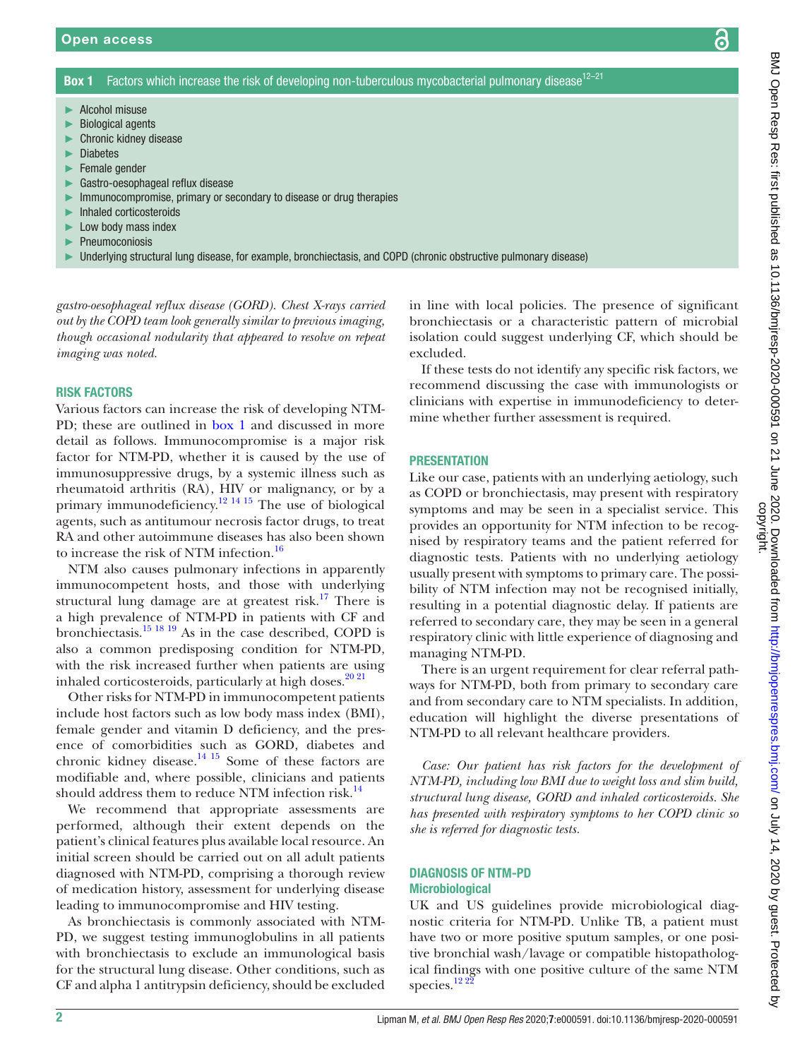**Box 1** Factors which increase the risk of developing non-tuberculous mycobacterial pulmonary disease<sup>12–21</sup>

- <span id="page-1-0"></span>► Alcohol misuse
- Biological agents
- Chronic kidney disease
- **Diabetes**
- Female gender
- Gastro-oesophageal reflux disease
- Immunocompromise, primary or secondary to disease or drug therapies
- Inhaled corticosteroids
- Low body mass index
- **Pneumoconiosis**
- Underlying structural lung disease, for example, bronchiectasis, and COPD (chronic obstructive pulmonary disease)

*gastro-oesophageal reflux disease (GORD). Chest X-rays carried out by the COPD team look generally similar to previous imaging, though occasional nodularity that appeared to resolve on repeat imaging was noted.*

## Risk factors

Various factors can increase the risk of developing NTM-PD; these are outlined in [box](#page-1-0) 1 and discussed in more detail as follows. Immunocompromise is a major risk factor for NTM-PD, whether it is caused by the use of immunosuppressive drugs, by a systemic illness such as rheumatoid arthritis (RA), HIV or malignancy, or by a primary immunodeficiency.<sup>[12 14 15](#page-6-4)</sup> The use of biological agents, such as antitumour necrosis factor drugs, to treat RA and other autoimmune diseases has also been shown to increase the risk of NTM infection.<sup>[16](#page-6-6)</sup>

NTM also causes pulmonary infections in apparently immunocompetent hosts, and those with underlying structural lung damage are at greatest risk.<sup>17</sup> There is a high prevalence of NTM-PD in patients with CF and bronchiectasis. $^{15}$  18 19 As in the case described, COPD is also a common predisposing condition for NTM-PD, with the risk increased further when patients are using inhaled corticosteroids, particularly at high doses. $2021$ 

Other risks for NTM-PD in immunocompetent patients include host factors such as low body mass index (BMI), female gender and vitamin D deficiency, and the presence of comorbidities such as GORD, diabetes and chronic kidney disease. $14 \frac{15}{5}$  Some of these factors are modifiable and, where possible, clinicians and patients should address them to reduce NTM infection risk.<sup>[14](#page-6-10)</sup>

We recommend that appropriate assessments are performed, although their extent depends on the patient's clinical features plus available local resource. An initial screen should be carried out on all adult patients diagnosed with NTM-PD, comprising a thorough review of medication history, assessment for underlying disease leading to immunocompromise and HIV testing.

As bronchiectasis is commonly associated with NTM-PD, we suggest testing immunoglobulins in all patients with bronchiectasis to exclude an immunological basis for the structural lung disease. Other conditions, such as CF and alpha 1 antitrypsin deficiency, should be excluded

in line with local policies. The presence of significant bronchiectasis or a characteristic pattern of microbial isolation could suggest underlying CF, which should be excluded.

If these tests do not identify any specific risk factors, we recommend discussing the case with immunologists or clinicians with expertise in immunodeficiency to determine whether further assessment is required.

# **PRESENTATION**

Like our case, patients with an underlying aetiology, such as COPD or bronchiectasis, may present with respiratory symptoms and may be seen in a specialist service. This provides an opportunity for NTM infection to be recognised by respiratory teams and the patient referred for diagnostic tests. Patients with no underlying aetiology usually present with symptoms to primary care. The possibility of NTM infection may not be recognised initially, resulting in a potential diagnostic delay. If patients are referred to secondary care, they may be seen in a general respiratory clinic with little experience of diagnosing and managing NTM-PD.

There is an urgent requirement for clear referral pathways for NTM-PD, both from primary to secondary care and from secondary care to NTM specialists. In addition, education will highlight the diverse presentations of NTM-PD to all relevant healthcare providers.

*Case: Our patient has risk factors for the development of NTM-PD, including low BMI due to weight loss and slim build, structural lung disease, GORD and inhaled corticosteroids. She has presented with respiratory symptoms to her COPD clinic so she is referred for diagnostic tests.*

#### Diagnosis of NTM-PD **Microbiological**

UK and US guidelines provide microbiological diagnostic criteria for NTM-PD. Unlike TB, a patient must have two or more positive sputum samples, or one positive bronchial wash/lavage or compatible histopathological findings with one positive culture of the same NTM species. $12\frac{22}{2}$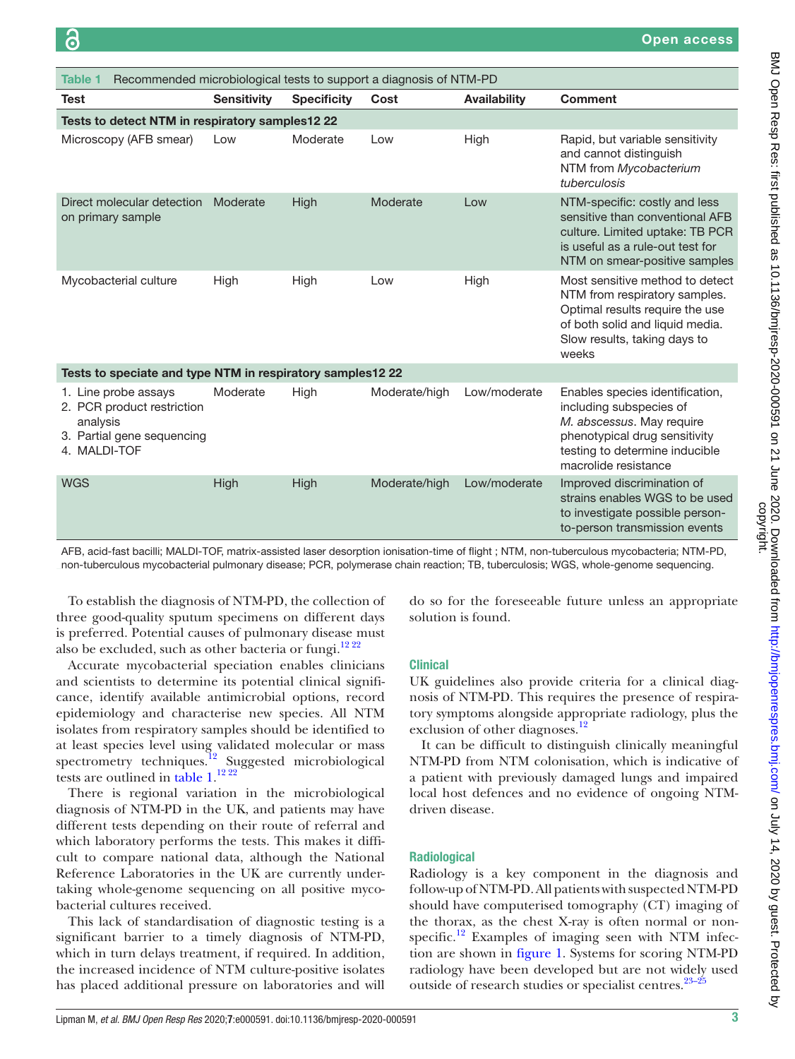<span id="page-2-0"></span>

| Recommended microbiological tests to support a diagnosis of NTM-PD<br><b>Table 1</b>                         |                    |                    |               |                     |                                                                                                                                                                                    |  |  |
|--------------------------------------------------------------------------------------------------------------|--------------------|--------------------|---------------|---------------------|------------------------------------------------------------------------------------------------------------------------------------------------------------------------------------|--|--|
| <b>Test</b>                                                                                                  | <b>Sensitivity</b> | <b>Specificity</b> | Cost          | <b>Availability</b> | <b>Comment</b>                                                                                                                                                                     |  |  |
| Tests to detect NTM in respiratory samples12 22                                                              |                    |                    |               |                     |                                                                                                                                                                                    |  |  |
| Microscopy (AFB smear)                                                                                       | Low                | Moderate           | Low           | High                | Rapid, but variable sensitivity<br>and cannot distinguish<br>NTM from Mycobacterium<br>tuberculosis                                                                                |  |  |
| Direct molecular detection<br>on primary sample                                                              | Moderate           | High               | Moderate      | Low                 | NTM-specific: costly and less<br>sensitive than conventional AFB<br>culture. Limited uptake: TB PCR<br>is useful as a rule-out test for<br>NTM on smear-positive samples           |  |  |
| Mycobacterial culture                                                                                        | High               | High               | Low           | High                | Most sensitive method to detect<br>NTM from respiratory samples.<br>Optimal results require the use<br>of both solid and liquid media.<br>Slow results, taking days to<br>weeks    |  |  |
| Tests to speciate and type NTM in respiratory samples12 22                                                   |                    |                    |               |                     |                                                                                                                                                                                    |  |  |
| 1. Line probe assays<br>2. PCR product restriction<br>analysis<br>3. Partial gene sequencing<br>4. MALDI-TOF | Moderate           | High               | Moderate/high | Low/moderate        | Enables species identification,<br>including subspecies of<br>M. abscessus. May require<br>phenotypical drug sensitivity<br>testing to determine inducible<br>macrolide resistance |  |  |
| <b>WGS</b>                                                                                                   | High               | High               | Moderate/high | Low/moderate        | Improved discrimination of<br>strains enables WGS to be used<br>to investigate possible person-<br>to-person transmission events                                                   |  |  |

AFB, acid-fast bacilli; MALDI-TOF, matrix-assisted laser desorption ionisation-time of flight ; NTM, non-tuberculous mycobacteria; NTM-PD, non-tuberculous mycobacterial pulmonary disease; PCR, polymerase chain reaction; TB, tuberculosis; WGS, whole-genome sequencing.

To establish the diagnosis of NTM-PD, the collection of three good-quality sputum specimens on different days is preferred. Potential causes of pulmonary disease must also be excluded, such as other bacteria or fungi. $12^{22}$ 

Accurate mycobacterial speciation enables clinicians and scientists to determine its potential clinical significance, identify available antimicrobial options, record epidemiology and characterise new species. All NTM isolates from respiratory samples should be identified to at least species level using validated molecular or mass spectrometry techniques.<sup>12</sup> Suggested microbiological tests are outlined in [table](#page-2-0)  $1.^{12\,22}$ 

There is regional variation in the microbiological diagnosis of NTM-PD in the UK, and patients may have different tests depending on their route of referral and which laboratory performs the tests. This makes it difficult to compare national data, although the National Reference Laboratories in the UK are currently undertaking whole-genome sequencing on all positive mycobacterial cultures received.

This lack of standardisation of diagnostic testing is a significant barrier to a timely diagnosis of NTM-PD, which in turn delays treatment, if required. In addition, the increased incidence of NTM culture-positive isolates has placed additional pressure on laboratories and will

do so for the foreseeable future unless an appropriate solution is found.

# **Clinical**

UK guidelines also provide criteria for a clinical diagnosis of NTM-PD. This requires the presence of respiratory symptoms alongside appropriate radiology, plus the exclusion of other diagnoses.<sup>[12](#page-6-4)</sup>

It can be difficult to distinguish clinically meaningful NTM-PD from NTM colonisation, which is indicative of a patient with previously damaged lungs and impaired local host defences and no evidence of ongoing NTMdriven disease.

### **Radiological**

Radiology is a key component in the diagnosis and follow-up of NTM-PD. All patients with suspected NTM-PD should have computerised tomography (CT) imaging of the thorax, as the chest X-ray is often normal or nonspecific. $12$  Examples of imaging seen with NTM infection are shown in [figure](#page-3-0) 1. Systems for scoring NTM-PD radiology have been developed but are not widely used outside of research studies or specialist centres.<sup>23–25</sup>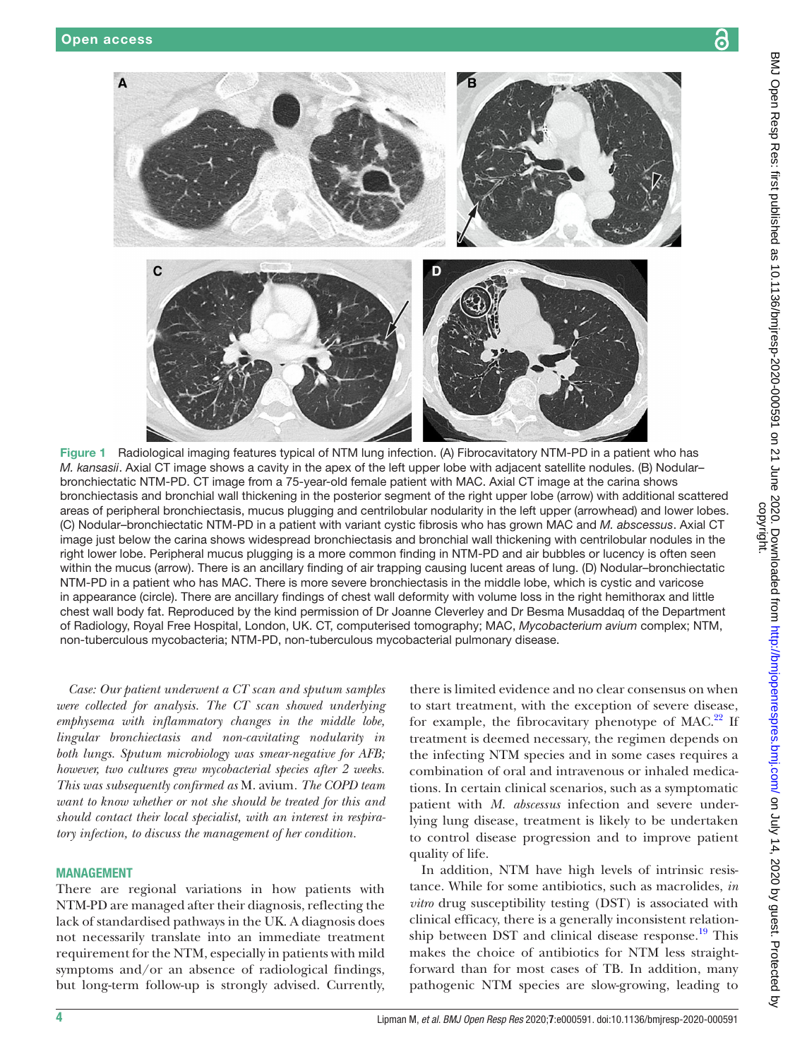

<span id="page-3-0"></span>Figure 1 Radiological imaging features typical of NTM lung infection. (A) Fibrocavitatory NTM-PD in a patient who has *M. kansasii*. Axial CT image shows a cavity in the apex of the left upper lobe with adjacent satellite nodules. (B) Nodular– bronchiectatic NTM-PD. CT image from a 75-year-old female patient with MAC. Axial CT image at the carina shows bronchiectasis and bronchial wall thickening in the posterior segment of the right upper lobe (arrow) with additional scattered areas of peripheral bronchiectasis, mucus plugging and centrilobular nodularity in the left upper (arrowhead) and lower lobes. (C) Nodular–bronchiectatic NTM-PD in a patient with variant cystic fibrosis who has grown MAC and *M. abscessus*. Axial CT image just below the carina shows widespread bronchiectasis and bronchial wall thickening with centrilobular nodules in the right lower lobe. Peripheral mucus plugging is a more common finding in NTM-PD and air bubbles or lucency is often seen within the mucus (arrow). There is an ancillary finding of air trapping causing lucent areas of lung. (D) Nodular–bronchiectatic NTM-PD in a patient who has MAC. There is more severe bronchiectasis in the middle lobe, which is cystic and varicose in appearance (circle). There are ancillary findings of chest wall deformity with volume loss in the right hemithorax and little chest wall body fat. Reproduced by the kind permission of Dr Joanne Cleverley and Dr Besma Musaddaq of the Department of Radiology, Royal Free Hospital, London, UK. CT, computerised tomography; MAC, *Mycobacterium avium* complex; NTM, non-tuberculous mycobacteria; NTM-PD, non-tuberculous mycobacterial pulmonary disease.

*Case: Our patient underwent a CT scan and sputum samples were collected for analysis. The CT scan showed underlying emphysema with inflammatory changes in the middle lobe, lingular bronchiectasis and non-cavitating nodularity in both lungs. Sputum microbiology was smear-negative for AFB; however, two cultures grew mycobacterial species after 2 weeks. This was subsequently confirmed as* M. avium*. The COPD team want to know whether or not she should be treated for this and should contact their local specialist, with an interest in respiratory infection, to discuss the management of her condition.*

#### Management

There are regional variations in how patients with NTM-PD are managed after their diagnosis, reflecting the lack of standardised pathways in the UK. A diagnosis does not necessarily translate into an immediate treatment requirement for the NTM, especially in patients with mild symptoms and/or an absence of radiological findings, but long-term follow-up is strongly advised. Currently,

there is limited evidence and no clear consensus on when to start treatment, with the exception of severe disease, for example, the fibrocavitary phenotype of  $MAC.^{22}$  If treatment is deemed necessary, the regimen depends on the infecting NTM species and in some cases requires a combination of oral and intravenous or inhaled medications. In certain clinical scenarios, such as a symptomatic patient with *M. abscessus* infection and severe underlying lung disease, treatment is likely to be undertaken to control disease progression and to improve patient quality of life.

In addition, NTM have high levels of intrinsic resistance. While for some antibiotics, such as macrolides, *in vitro* drug susceptibility testing (DST) is associated with clinical efficacy, there is a generally inconsistent relationship between DST and clinical disease response.<sup>19</sup> This makes the choice of antibiotics for NTM less straightforward than for most cases of TB. In addition, many pathogenic NTM species are slow-growing, leading to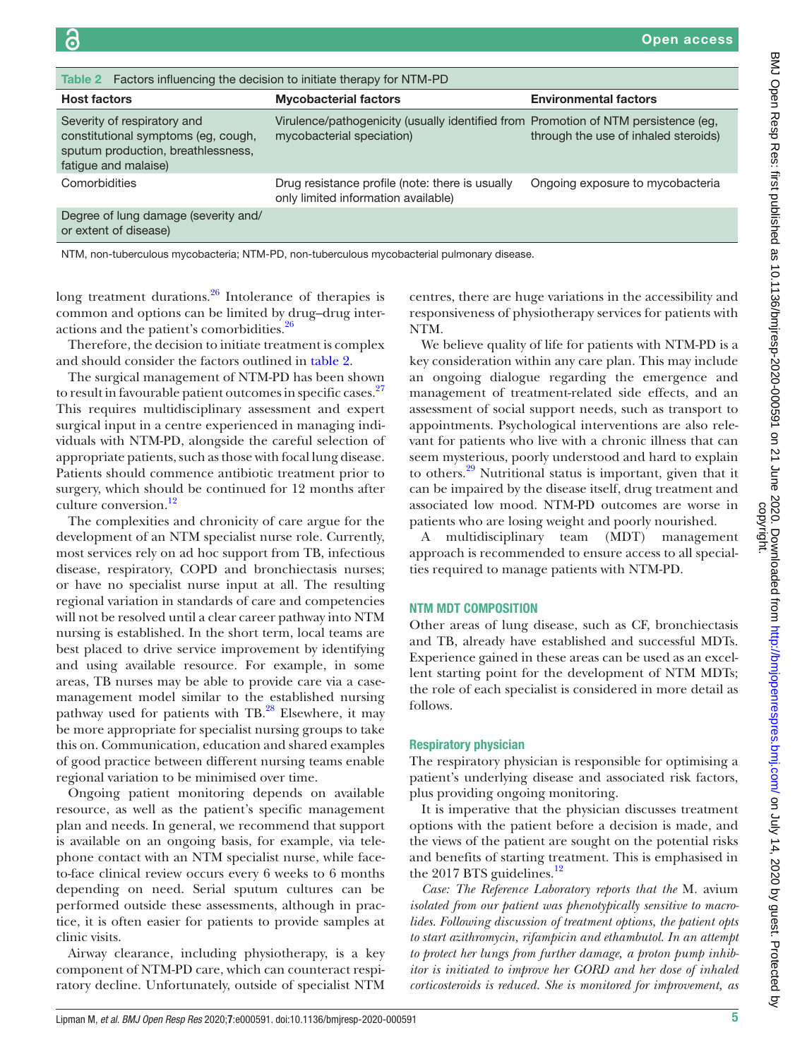<span id="page-4-0"></span>

| Table 2 Factors influencing the decision to initiate therapy for NTM-PD                                                          |                                                                                                                 |                                      |  |  |  |  |
|----------------------------------------------------------------------------------------------------------------------------------|-----------------------------------------------------------------------------------------------------------------|--------------------------------------|--|--|--|--|
| <b>Host factors</b>                                                                                                              | <b>Mycobacterial factors</b>                                                                                    | <b>Environmental factors</b>         |  |  |  |  |
| Severity of respiratory and<br>constitutional symptoms (eg, cough,<br>sputum production, breathlessness,<br>fatigue and malaise) | Virulence/pathogenicity (usually identified from Promotion of NTM persistence (eg,<br>mycobacterial speciation) | through the use of inhaled steroids) |  |  |  |  |
| Comorbidities                                                                                                                    | Drug resistance profile (note: there is usually<br>only limited information available)                          | Ongoing exposure to mycobacteria     |  |  |  |  |
| Degree of lung damage (severity and/<br>or extent of disease)                                                                    |                                                                                                                 |                                      |  |  |  |  |

NTM, non-tuberculous mycobacteria; NTM-PD, non-tuberculous mycobacterial pulmonary disease.

long treatment durations.<sup>26</sup> Intolerance of therapies is common and options can be limited by drug–drug interactions and the patient's comorbidities[.26](#page-7-1)

Therefore, the decision to initiate treatment is complex and should consider the factors outlined in [table](#page-4-0) 2.

The surgical management of NTM-PD has been shown to result in favourable patient outcomes in specific cases.<sup>27</sup> This requires multidisciplinary assessment and expert surgical input in a centre experienced in managing individuals with NTM-PD, alongside the careful selection of appropriate patients, such as those with focal lung disease. Patients should commence antibiotic treatment prior to surgery, which should be continued for 12 months after culture conversion.<sup>[12](#page-6-4)</sup>

The complexities and chronicity of care argue for the development of an NTM specialist nurse role. Currently, most services rely on ad hoc support from TB, infectious disease, respiratory, COPD and bronchiectasis nurses; or have no specialist nurse input at all. The resulting regional variation in standards of care and competencies will not be resolved until a clear career pathway into NTM nursing is established. In the short term, local teams are best placed to drive service improvement by identifying and using available resource. For example, in some areas, TB nurses may be able to provide care via a casemanagement model similar to the established nursing pathway used for patients with TB.<sup>28</sup> Elsewhere, it may be more appropriate for specialist nursing groups to take this on. Communication, education and shared examples of good practice between different nursing teams enable regional variation to be minimised over time.

Ongoing patient monitoring depends on available resource, as well as the patient's specific management plan and needs. In general, we recommend that support is available on an ongoing basis, for example, via telephone contact with an NTM specialist nurse, while faceto-face clinical review occurs every 6 weeks to 6 months depending on need. Serial sputum cultures can be performed outside these assessments, although in practice, it is often easier for patients to provide samples at clinic visits.

Airway clearance, including physiotherapy, is a key component of NTM-PD care, which can counteract respiratory decline. Unfortunately, outside of specialist NTM

centres, there are huge variations in the accessibility and responsiveness of physiotherapy services for patients with NTM.

We believe quality of life for patients with NTM-PD is a key consideration within any care plan. This may include an ongoing dialogue regarding the emergence and management of treatment-related side effects, and an assessment of social support needs, such as transport to appointments. Psychological interventions are also relevant for patients who live with a chronic illness that can seem mysterious, poorly understood and hard to explain to others.[29](#page-7-4) Nutritional status is important, given that it can be impaired by the disease itself, drug treatment and associated low mood. NTM-PD outcomes are worse in patients who are losing weight and poorly nourished.

A multidisciplinary team (MDT) management approach is recommended to ensure access to all specialties required to manage patients with NTM-PD.

#### NTM MDT composition

Other areas of lung disease, such as CF, bronchiectasis and TB, already have established and successful MDTs. Experience gained in these areas can be used as an excellent starting point for the development of NTM MDTs; the role of each specialist is considered in more detail as follows.

#### Respiratory physician

The respiratory physician is responsible for optimising a patient's underlying disease and associated risk factors, plus providing ongoing monitoring.

It is imperative that the physician discusses treatment options with the patient before a decision is made, and the views of the patient are sought on the potential risks and benefits of starting treatment. This is emphasised in the 2017 BTS guidelines.<sup>[12](#page-6-4)</sup>

*Case: The Reference Laboratory reports that the* M. avium *isolated from our patient was phenotypically sensitive to macrolides. Following discussion of treatment options, the patient opts to start azithromycin, rifampicin and ethambutol. In an attempt to protect her lungs from further damage, a proton pump inhibitor is initiated to improve her GORD and her dose of inhaled corticosteroids is reduced. She is monitored for improvement, as*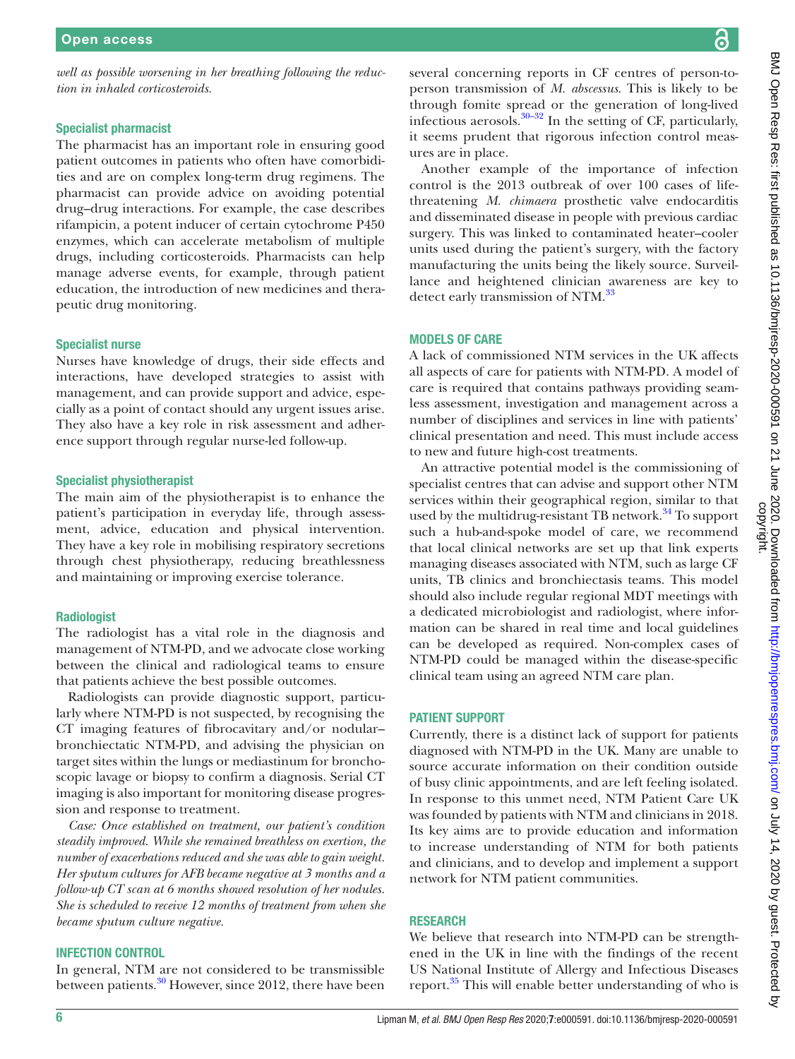*well as possible worsening in her breathing following the reduction in inhaled corticosteroids.*

#### Specialist pharmacist

The pharmacist has an important role in ensuring good patient outcomes in patients who often have comorbidities and are on complex long-term drug regimens. The pharmacist can provide advice on avoiding potential drug–drug interactions. For example, the case describes rifampicin, a potent inducer of certain cytochrome P450 enzymes, which can accelerate metabolism of multiple drugs, including corticosteroids. Pharmacists can help manage adverse events, for example, through patient education, the introduction of new medicines and therapeutic drug monitoring.

#### Specialist nurse

Nurses have knowledge of drugs, their side effects and interactions, have developed strategies to assist with management, and can provide support and advice, especially as a point of contact should any urgent issues arise. They also have a key role in risk assessment and adherence support through regular nurse-led follow-up.

#### Specialist physiotherapist

The main aim of the physiotherapist is to enhance the patient's participation in everyday life, through assessment, advice, education and physical intervention. They have a key role in mobilising respiratory secretions through chest physiotherapy, reducing breathlessness and maintaining or improving exercise tolerance.

#### **Radiologist**

The radiologist has a vital role in the diagnosis and management of NTM-PD, and we advocate close working between the clinical and radiological teams to ensure that patients achieve the best possible outcomes.

Radiologists can provide diagnostic support, particularly where NTM-PD is not suspected, by recognising the CT imaging features of fibrocavitary and/or nodular– bronchiectatic NTM-PD, and advising the physician on target sites within the lungs or mediastinum for bronchoscopic lavage or biopsy to confirm a diagnosis. Serial CT imaging is also important for monitoring disease progression and response to treatment.

*Case: Once established on treatment, our patient's condition steadily improved. While she remained breathless on exertion, the number of exacerbations reduced and she was able to gain weight. Her sputum cultures for AFB became negative at 3 months and a follow-up CT scan at 6 months showed resolution of her nodules. She is scheduled to receive 12 months of treatment from when she became sputum culture negative.*

# Infection control

In general, NTM are not considered to be transmissible between patients.<sup>30</sup> However, since 2012, there have been several concerning reports in CF centres of person-toperson transmission of *M. abscessus*. This is likely to be through fomite spread or the generation of long-lived infectious aerosols. $30-32$  In the setting of CF, particularly, it seems prudent that rigorous infection control measures are in place.

Another example of the importance of infection control is the 2013 outbreak of over 100 cases of lifethreatening *M. chimaera* prosthetic valve endocarditis and disseminated disease in people with previous cardiac surgery. This was linked to contaminated heater–cooler units used during the patient's surgery, with the factory manufacturing the units being the likely source. Surveillance and heightened clinician awareness are key to detect early transmission of NTM.<sup>[33](#page-7-6)</sup>

### Models of care

A lack of commissioned NTM services in the UK affects all aspects of care for patients with NTM-PD. A model of care is required that contains pathways providing seamless assessment, investigation and management across a number of disciplines and services in line with patients' clinical presentation and need. This must include access to new and future high-cost treatments.

An attractive potential model is the commissioning of specialist centres that can advise and support other NTM services within their geographical region, similar to that used by the multidrug-resistant TB network.<sup>[34](#page-7-7)</sup> To support such a hub-and-spoke model of care, we recommend that local clinical networks are set up that link experts managing diseases associated with NTM, such as large CF units, TB clinics and bronchiectasis teams. This model should also include regular regional MDT meetings with a dedicated microbiologist and radiologist, where information can be shared in real time and local guidelines can be developed as required. Non-complex cases of NTM-PD could be managed within the disease-specific clinical team using an agreed NTM care plan.

#### Patient support

Currently, there is a distinct lack of support for patients diagnosed with NTM-PD in the UK. Many are unable to source accurate information on their condition outside of busy clinic appointments, and are left feeling isolated. In response to this unmet need, NTM Patient Care UK was founded by patients with NTM and clinicians in 2018. Its key aims are to provide education and information to increase understanding of NTM for both patients and clinicians, and to develop and implement a support network for NTM patient communities.

#### **RESEARCH**

We believe that research into NTM-PD can be strengthened in the UK in line with the findings of the recent US National Institute of Allergy and Infectious Diseases report.<sup>35</sup> This will enable better understanding of who is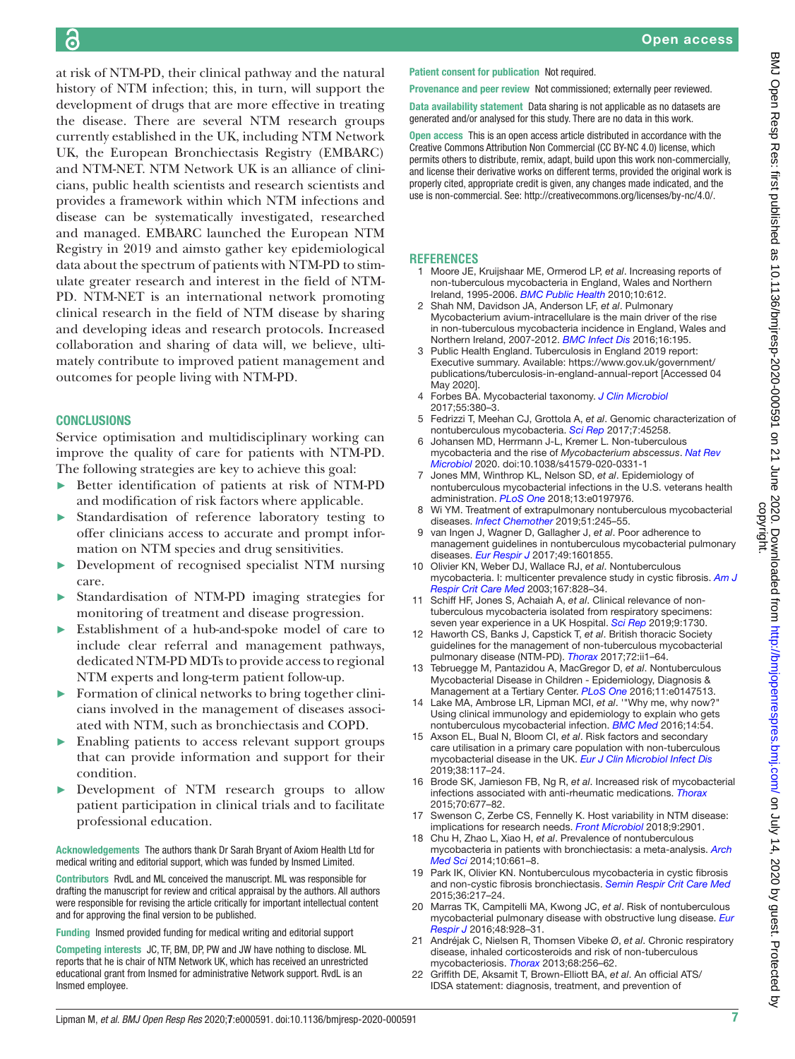at risk of NTM-PD, their clinical pathway and the natural history of NTM infection; this, in turn, will support the development of drugs that are more effective in treating the disease. There are several NTM research groups currently established in the UK, including NTM Network UK, the European Bronchiectasis Registry (EMBARC) and NTM-NET. NTM Network UK is an alliance of clinicians, public health scientists and research scientists and provides a framework within which NTM infections and disease can be systematically investigated, researched and managed. EMBARC launched the European NTM Registry in 2019 and aimsto gather key epidemiological data about the spectrum of patients with NTM-PD to stimulate greater research and interest in the field of NTM-PD. NTM-NET is an international network promoting clinical research in the field of NTM disease by sharing and developing ideas and research protocols. Increased collaboration and sharing of data will, we believe, ultimately contribute to improved patient management and outcomes for people living with NTM-PD.

# **CONCLUSIONS**

Service optimisation and multidisciplinary working can improve the quality of care for patients with NTM-PD. The following strategies are key to achieve this goal:

- ► Better identification of patients at risk of NTM-PD and modification of risk factors where applicable.
- ► Standardisation of reference laboratory testing to offer clinicians access to accurate and prompt information on NTM species and drug sensitivities.
- ► Development of recognised specialist NTM nursing care.
- Standardisation of NTM-PD imaging strategies for monitoring of treatment and disease progression.
- ► Establishment of a hub-and-spoke model of care to include clear referral and management pathways, dedicated NTM-PD MDTs to provide access to regional NTM experts and long-term patient follow-up.
- ► Formation of clinical networks to bring together clinicians involved in the management of diseases associated with NTM, such as bronchiectasis and COPD.
- ► Enabling patients to access relevant support groups that can provide information and support for their condition.
- Development of NTM research groups to allow patient participation in clinical trials and to facilitate professional education.

Acknowledgements The authors thank Dr Sarah Bryant of Axiom Health Ltd for medical writing and editorial support, which was funded by Insmed Limited.

Contributors RvdL and ML conceived the manuscript. ML was responsible for drafting the manuscript for review and critical appraisal by the authors. All authors were responsible for revising the article critically for important intellectual content and for approving the final version to be published.

Funding Insmed provided funding for medical writing and editorial support

Competing interests JC, TF, BM, DP, PW and JW have nothing to disclose. ML reports that he is chair of NTM Network UK, which has received an unrestricted educational grant from Insmed for administrative Network support. RvdL is an Insmed employee.

#### Patient consent for publication Not required.

Provenance and peer review Not commissioned; externally peer reviewed.

Data availability statement Data sharing is not applicable as no datasets are generated and/or analysed for this study. There are no data in this work.

Open access This is an open access article distributed in accordance with the Creative Commons Attribution Non Commercial (CC BY-NC 4.0) license, which permits others to distribute, remix, adapt, build upon this work non-commercially, and license their derivative works on different terms, provided the original work is properly cited, appropriate credit is given, any changes made indicated, and the use is non-commercial. See:<http://creativecommons.org/licenses/by-nc/4.0/>.

#### **References**

- <span id="page-6-0"></span>1 Moore JE, Kruijshaar ME, Ormerod LP, *et al*. Increasing reports of non-tuberculous mycobacteria in England, Wales and Northern Ireland, 1995-2006. *[BMC Public Health](http://dx.doi.org/10.1186/1471-2458-10-612)* 2010;10:612.
- 2 Shah NM, Davidson JA, Anderson LF, *et al*. Pulmonary Mycobacterium avium-intracellulare is the main driver of the rise in non-tuberculous mycobacteria incidence in England, Wales and Northern Ireland, 2007-2012. *[BMC Infect Dis](http://dx.doi.org/10.1186/s12879-016-1521-3)* 2016;16:195.
- Public Health England. Tuberculosis in England 2019 report: Executive summary. Available: [https://www.gov.uk/government/](https://www.gov.uk/government/publications/tuberculosis-in-england-annual-report) [publications/tuberculosis-in-england-annual-report](https://www.gov.uk/government/publications/tuberculosis-in-england-annual-report) [Accessed 04 May 2020].
- <span id="page-6-1"></span>4 Forbes BA. Mycobacterial taxonomy. *[J Clin Microbiol](http://dx.doi.org/10.1128/JCM.01287-16)* 2017;55:380–3.
- 5 Fedrizzi T, Meehan CJ, Grottola A, *et al*. Genomic characterization of nontuberculous mycobacteria. *[Sci Rep](http://dx.doi.org/10.1038/srep45258)* 2017;7:45258.
- 6 Johansen MD, Herrmann J-L, Kremer L. Non-tuberculous mycobacteria and the rise of *Mycobacterium abscessus*. *[Nat Rev](http://dx.doi.org/10.1038/s41579-020-0331-1)  [Microbiol](http://dx.doi.org/10.1038/s41579-020-0331-1)* 2020. doi:10.1038/s41579-020-0331-1
- <span id="page-6-2"></span>7 Jones MM, Winthrop KL, Nelson SD, *et al*. Epidemiology of nontuberculous mycobacterial infections in the U.S. veterans health administration. *[PLoS One](http://dx.doi.org/10.1371/journal.pone.0197976)* 2018;13:e0197976.
- 8 Wi YM. Treatment of extrapulmonary nontuberculous mycobacterial diseases. *[Infect Chemother](http://dx.doi.org/10.3947/ic.2019.51.3.245)* 2019;51:245–55.
- <span id="page-6-3"></span>9 van Ingen J, Wagner D, Gallagher J, *et al*. Poor adherence to management guidelines in nontuberculous mycobacterial pulmonary diseases. *[Eur Respir J](http://dx.doi.org/10.1183/13993003.01855-2016)* 2017;49:1601855.
- 10 Olivier KN, Weber DJ, Wallace RJ, *et al*. Nontuberculous mycobacteria. I: multicenter prevalence study in cystic fibrosis. *[Am J](http://dx.doi.org/10.1164/rccm.200207-678OC)  [Respir Crit Care Med](http://dx.doi.org/10.1164/rccm.200207-678OC)* 2003;167:828–34.
- 11 Schiff HF, Jones S, Achaiah A, *et al*. Clinical relevance of nontuberculous mycobacteria isolated from respiratory specimens: seven year experience in a UK Hospital. *[Sci Rep](http://dx.doi.org/10.1038/s41598-018-37350-8)* 2019;9:1730.
- <span id="page-6-4"></span>12 Haworth CS, Banks J, Capstick T, *et al*. British thoracic Society guidelines for the management of non-tuberculous mycobacterial pulmonary disease (NTM-PD). *[Thorax](http://dx.doi.org/10.1136/thoraxjnl-2017-210927)* 2017;72:ii1–64.
- <span id="page-6-5"></span>13 Tebruegge M, Pantazidou A, MacGregor D, *et al*. Nontuberculous Mycobacterial Disease in Children - Epidemiology, Diagnosis & Management at a Tertiary Center. *[PLoS One](http://dx.doi.org/10.1371/journal.pone.0147513)* 2016;11:e0147513.
- <span id="page-6-10"></span>14 Lake MA, Ambrose LR, Lipman MCI, *et al*. '"Why me, why now?" Using clinical immunology and epidemiology to explain who gets nontuberculous mycobacterial infection. *[BMC Med](http://dx.doi.org/10.1186/s12916-016-0606-6)* 2016;14:54.
- <span id="page-6-8"></span>15 Axson EL, Bual N, Bloom CI, *et al*. Risk factors and secondary care utilisation in a primary care population with non-tuberculous mycobacterial disease in the UK. *[Eur J Clin Microbiol Infect Dis](http://dx.doi.org/10.1007/s10096-018-3402-8)* 2019;38:117–24.
- <span id="page-6-6"></span>16 Brode SK, Jamieson FB, Ng R, *et al*. Increased risk of mycobacterial infections associated with anti-rheumatic medications. *[Thorax](http://dx.doi.org/10.1136/thoraxjnl-2014-206470)* 2015;70:677–82.
- <span id="page-6-7"></span>17 Swenson C, Zerbe CS, Fennelly K. Host variability in NTM disease: implications for research needs. *[Front Microbiol](http://dx.doi.org/10.3389/fmicb.2018.02901)* 2018;9:2901.
- 18 Chu H, Zhao L, Xiao H, *et al*. Prevalence of nontuberculous mycobacteria in patients with bronchiectasis: a meta-analysis. *[Arch](http://dx.doi.org/10.5114/aoms.2014.44857)  [Med Sci](http://dx.doi.org/10.5114/aoms.2014.44857)* 2014;10:661–8.
- <span id="page-6-12"></span>19 Park IK, Olivier KN. Nontuberculous mycobacteria in cystic fibrosis and non-cystic fibrosis bronchiectasis. *[Semin Respir Crit Care Med](http://dx.doi.org/10.1055/s-0035-1546751)* 2015;36:217–24.
- <span id="page-6-9"></span>20 Marras TK, Campitelli MA, Kwong JC, *et al*. Risk of nontuberculous mycobacterial pulmonary disease with obstructive lung disease. *[Eur](http://dx.doi.org/10.1183/13993003.00033-2016)  [Respir J](http://dx.doi.org/10.1183/13993003.00033-2016)* 2016;48:928–31.
- 21 Andréjak C, Nielsen R, Thomsen Vibeke Ø, *et al*. Chronic respiratory disease, inhaled corticosteroids and risk of non-tuberculous mycobacteriosis. *[Thorax](http://dx.doi.org/10.1136/thoraxjnl-2012-201772)* 2013;68:256–62.
- <span id="page-6-11"></span>22 Griffith DE, Aksamit T, Brown-Elliott BA, *et al*. An official ATS/ IDSA statement: diagnosis, treatment, and prevention of